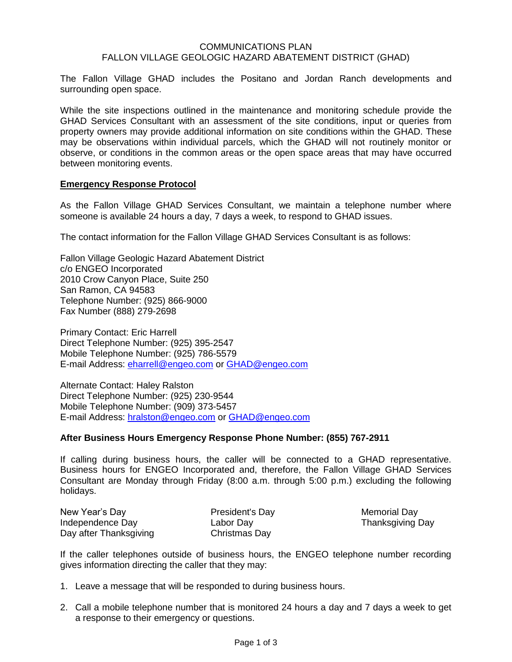### COMMUNICATIONS PLAN FALLON VILLAGE GEOLOGIC HAZARD ABATEMENT DISTRICT (GHAD)

The Fallon Village GHAD includes the Positano and Jordan Ranch developments and surrounding open space.

While the site inspections outlined in the maintenance and monitoring schedule provide the GHAD Services Consultant with an assessment of the site conditions, input or queries from property owners may provide additional information on site conditions within the GHAD. These may be observations within individual parcels, which the GHAD will not routinely monitor or observe, or conditions in the common areas or the open space areas that may have occurred between monitoring events.

### **Emergency Response Protocol**

As the Fallon Village GHAD Services Consultant, we maintain a telephone number where someone is available 24 hours a day, 7 days a week, to respond to GHAD issues.

The contact information for the Fallon Village GHAD Services Consultant is as follows:

Fallon Village Geologic Hazard Abatement District c/o ENGEO Incorporated 2010 Crow Canyon Place, Suite 250 San Ramon, CA 94583 Telephone Number: (925) 866-9000 Fax Number (888) 279-2698

Primary Contact: Eric Harrell Direct Telephone Number: (925) 395-2547 Mobile Telephone Number: (925) 786-5579 E-mail Address: [eharrell@engeo.com](mailto:eharrell@engeo.com) or [GHAD@engeo.com](mailto:GHAD@engeo.com)

Alternate Contact: Haley Ralston Direct Telephone Number: (925) 230-9544 Mobile Telephone Number: (909) 373-5457 E-mail Address: [hralston@engeo.com](mailto:hralston@engeo.com) or [GHAD@engeo.com](mailto:GHAD@engeo.com)

### **After Business Hours Emergency Response Phone Number: (855) 767-2911**

If calling during business hours, the caller will be connected to a GHAD representative. Business hours for ENGEO Incorporated and, therefore, the Fallon Village GHAD Services Consultant are Monday through Friday (8:00 a.m. through 5:00 p.m.) excluding the following holidays.

| New Year's Day         | President's Da |
|------------------------|----------------|
| Independence Day       | Labor Day      |
| Day after Thanksgiving | Christmas Day  |

New Year's Day Nemorial Day Thanksgiving Day

If the caller telephones outside of business hours, the ENGEO telephone number recording gives information directing the caller that they may:

- 1. Leave a message that will be responded to during business hours.
- 2. Call a mobile telephone number that is monitored 24 hours a day and 7 days a week to get a response to their emergency or questions.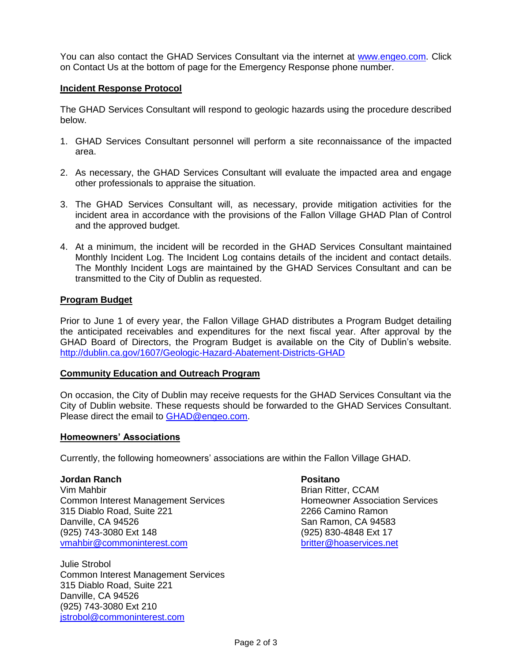You can also contact the GHAD Services Consultant via the internet at [www.engeo.com.](http://www.engeo.com/) Click on Contact Us at the bottom of page for the Emergency Response phone number.

## **Incident Response Protocol**

The GHAD Services Consultant will respond to geologic hazards using the procedure described below.

- 1. GHAD Services Consultant personnel will perform a site reconnaissance of the impacted area.
- 2. As necessary, the GHAD Services Consultant will evaluate the impacted area and engage other professionals to appraise the situation.
- 3. The GHAD Services Consultant will, as necessary, provide mitigation activities for the incident area in accordance with the provisions of the Fallon Village GHAD Plan of Control and the approved budget.
- 4. At a minimum, the incident will be recorded in the GHAD Services Consultant maintained Monthly Incident Log. The Incident Log contains details of the incident and contact details. The Monthly Incident Logs are maintained by the GHAD Services Consultant and can be transmitted to the City of Dublin as requested.

# **Program Budget**

Prior to June 1 of every year, the Fallon Village GHAD distributes a Program Budget detailing the anticipated receivables and expenditures for the next fiscal year. After approval by the GHAD Board of Directors, the Program Budget is available on the City of Dublin's website. <http://dublin.ca.gov/1607/Geologic-Hazard-Abatement-Districts-GHAD>

### **Community Education and Outreach Program**

On occasion, the City of Dublin may receive requests for the GHAD Services Consultant via the City of Dublin website. These requests should be forwarded to the GHAD Services Consultant. Please direct the email to [GHAD@engeo.com.](mailto:GHAD@engeo.com)

### **Homeowners' Associations**

Currently, the following homeowners' associations are within the Fallon Village GHAD.

#### **Jordan Ranch Positano**

Vim Mahbir Brian Ritter, CCAM Common Interest Management Services **Homeowner Association Services** 315 Diablo Road, Suite 221 2266 Camino Ramon Danville, CA 94526 San Ramon, CA 94583 (925) 743-3080 Ext 148 (925) 830-4848 Ext 17 [vmahbir@commoninterest.com](mailto:vmahbir@commoninterest.com)

Julie Strobol Common Interest Management Services 315 Diablo Road, Suite 221 Danville, CA 94526 (925) 743-3080 Ext 210 [jstrobol@commoninterest.com](mailto:jstrobol@commoninterest.com)